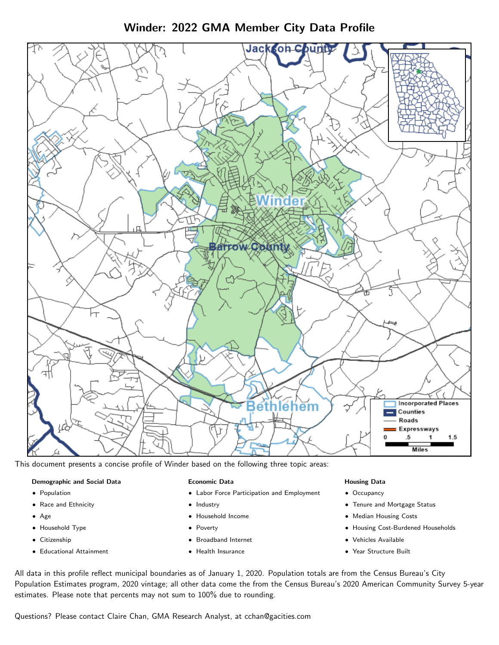Winder: 2022 GMA Member City Data Profile



This document presents a concise profile of Winder based on the following three topic areas:

### Demographic and Social Data

- **•** Population
- Race and Ethnicity
- Age
- Household Type
- **Citizenship**
- Educational Attainment

### Economic Data

- Labor Force Participation and Employment
- Industry
- Household Income
- Poverty
- Broadband Internet
- Health Insurance

### Housing Data

- Occupancy
- Tenure and Mortgage Status
- Median Housing Costs
- Housing Cost-Burdened Households
- Vehicles Available
- Year Structure Built

All data in this profile reflect municipal boundaries as of January 1, 2020. Population totals are from the Census Bureau's City Population Estimates program, 2020 vintage; all other data come the from the Census Bureau's 2020 American Community Survey 5-year estimates. Please note that percents may not sum to 100% due to rounding.

Questions? Please contact Claire Chan, GMA Research Analyst, at [cchan@gacities.com.](mailto:cchan@gacities.com)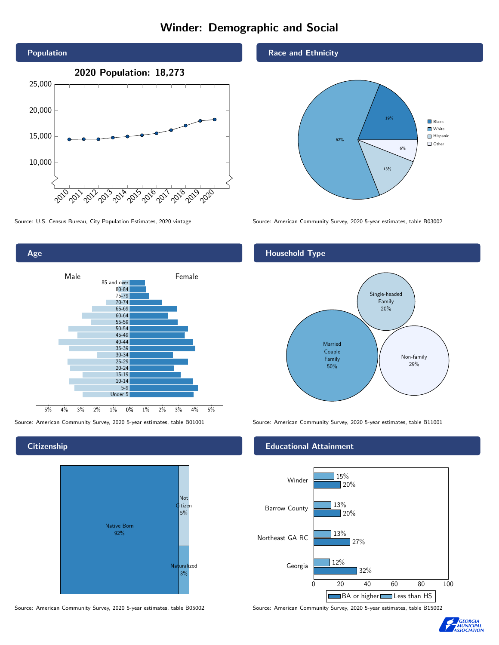# Winder: Demographic and Social





### **Citizenship**



Source: American Community Survey, 2020 5-year estimates, table B05002 Source: American Community Survey, 2020 5-year estimates, table B15002

#### Race and Ethnicity



Source: U.S. Census Bureau, City Population Estimates, 2020 vintage Source: American Community Survey, 2020 5-year estimates, table B03002

### Household Type



Source: American Community Survey, 2020 5-year estimates, table B01001 Source: American Community Survey, 2020 5-year estimates, table B11001

### Educational Attainment



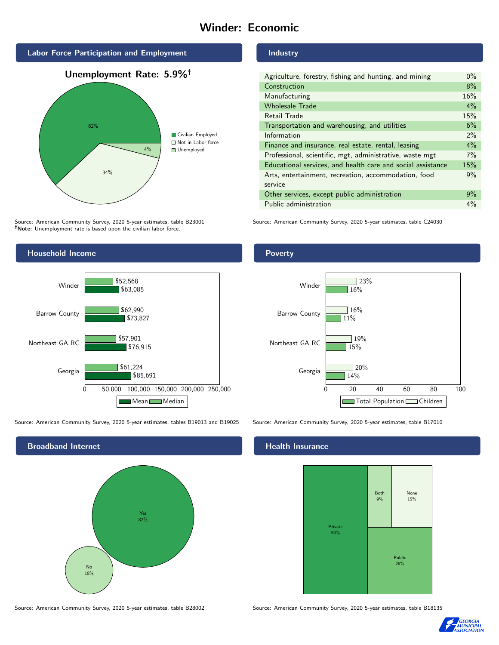# Winder: Economic







Source: American Community Survey, 2020 5-year estimates, table B23001 Note: Unemployment rate is based upon the civilian labor force.



Source: American Community Survey, 2020 5-year estimates, tables B19013 and B19025 Source: American Community Survey, 2020 5-year estimates, table B17010



Industry

| Agriculture, forestry, fishing and hunting, and mining      | $0\%$ |
|-------------------------------------------------------------|-------|
| Construction                                                | 8%    |
| Manufacturing                                               | 16%   |
| <b>Wholesale Trade</b>                                      | $4\%$ |
| Retail Trade                                                | 15%   |
| Transportation and warehousing, and utilities               | 6%    |
| Information                                                 | $2\%$ |
| Finance and insurance, real estate, rental, leasing         | 4%    |
| Professional, scientific, mgt, administrative, waste mgt    | 7%    |
| Educational services, and health care and social assistance | 15%   |
| Arts, entertainment, recreation, accommodation, food        | 9%    |
| service                                                     |       |
| Other services, except public administration                | 9%    |
| Public administration                                       | $4\%$ |

Source: American Community Survey, 2020 5-year estimates, table C24030

### Poverty



### Health Insurance



Source: American Community Survey, 2020 5-year estimates, table B28002 Source: American Community Survey, 2020 5-year estimates, table B18135